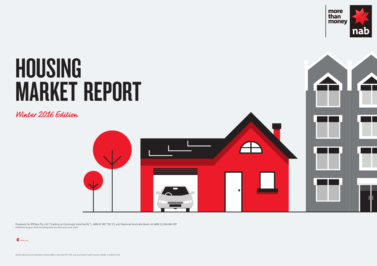Prepared by RPData Pty Ltd ("trading as CoreLogic Asia Pacific"). ABN 67 087 759 171 and National Australia Bank Ltd ABN 12 004 044 937 Published August 2016 including data sourced up to June 2016



Winter 2016 Edition



# HOUSING MARKET REPORT

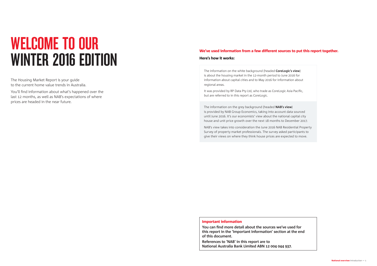# WELCOME TO OUR WINTER 2016 EDITION

The Housing Market Report is your guide to the current home value trends in Australia.

You'll find information about what's happened over the last 12 months, as well as NAB's expectations of where prices are headed in the near future.

The information on the white background (headed **CoreLogic's view**) is about the housing market in the 12-month period to June 2016 for information about capital cities and to May 2016 for information about regional areas.

It was provided by RP Data Pty Ltd, who trade as CoreLogic Asia Pacific, but are referred to in this report as CoreLogic.

The information on the grey background (headed **NAB's view**) is provided by NAB Group Economics, taking into account data sourced until June 2016. It's our economists' view about the national capital city house and unit price growth over the next 18 months to December 2017.

NAB's view takes into consideration the June 2016 NAB Residential Property Survey of property market professionals. The survey asked participants to give their views on where they think house prices are expected to move.

#### Important information

**You can find more detail about the sources we've used for this report in the 'Important Information' section at the end of this document.**

**References to 'NAB' in this report are to National Australia Bank Limited ABN 12 004 044 937.**

#### We've used information from a few different sources to put this report together.

#### Here's how it works: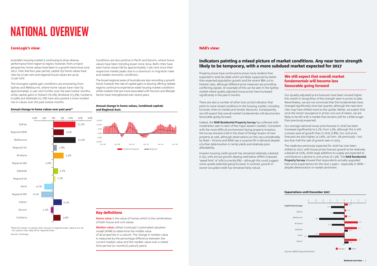#### CoreLogic's view: NAB's view:

#### Indicators painting a mixed picture of market conditions. Any near term strength likely to be temporary, with a more subdued market expected for 2017

### NATIONAL OVERVIEW

Australia's housing market is continuing to show diverse performance from region to region, however, from a macro perspective, home values have been in a growth trend since June 2012. Over that four year period, capital city home values have risen by 37 per cent and regional house values are up by 12 per cent.

The strongest capital gain conditions are emanating from Sydney and Melbourne, where home values have risen by approximately 11 per cent further over the past twelve months, while capital gains in Hobart (+6.2%), Brisbane (+5.3%), Canberra (+3.9%) and Adelaide (+2.2%) have also posted a more modest rise in values over the past twelve months.

\*Data for homes in capital cities, houses in regional areas. Data to Jun-16 for capital cities, May-16 for regional areas Source: CoreLogic

Annual change in home values, Combined capitals and Regional Aust.



#### Annual change in home values over past year\*



Property prices have continued to prove more resilient than expected in 2016 (to date) which are likely supported by better than expected population growth and the recent RBA cut to interest rates, although different price measures are providing conflicting signals. An example of this can be seen in the Sydney market where quality adjusted house prices have increased significantly in the past 6 months.

There are also a number of other (non-price) indicators that point to more mixed conditions in the housing market, including turnover, time on market and vendor discounts. Consequently, we still expect that overall market fundamentals will become less favourable going forward.

Investor housing credit growth has remained relatively subdued in Q2, with annual growth dipping well below APRA's imposed 'speed limit' of 10% (currently 6%) – although this could suggest some upside potential going forward. In contrast, growth in owner-occupied credit has remained fairly robust.

#### Expectations until December 2017



Source: NAB Group Economics

Conditions are less positive in Perth and Darwin, where home values have been trending lower since 2014. Both cities have seen home values fall by approximately 7 per cent since their respective market peaks due to a downturn in migration rates and weaker economic conditions.

The broad regional areas of Australia are also recording a growth trend, however the rate of capital gains is slowing. Mining related regions continue to experience weak housing market conditions while markets that are more associated with tourism and lifestyle factors have strengthened over recent years.

> Indeed, the **NAB Residential Property Survey** has softened with moderation seen in each of the major eastern markets. Consistent with the more difficult environment facing property investors, the Survey showed a fall in the share of foreign buyers of new property as well, although observations on this vary considerably by State – Victoria and NSW saw a surprise lift in demand despite a further deterioration in rental yields and relatively poor affordability. Our average national house price forecast in 2016 has been increased significantly to 5.1%, from 1.5%, although this is still a slower pace of growth than in 2015 (7.8%). Our unit price forecasts are also higher, at 3.6%, up from -1% previously – but less than half the rate of growth seen in 2015. The weakness previously expected for 2016 has now been

#### Key definitions

**Home value** is the value of homes which is the combination of both house and unit values

**Median value** utilises CoreLogic's automated valuation model (AVM) to determine the middle value of all properties in a suburb. The change in median value is measured by the percentage difference between the current median value and the median value over a stated time period (12 months/3 years/5 years)

#### We still expect that overall market fundamentals will become less favourable going forward

Our (quality adjusted) price forecasts have been revised higher this month in recognition of the strength seen in prices to date. Nevertheless, we are not convinced that the fundamentals have changed significantly since last quarter, although the near-term risks may have shifted more to the upside. Rather, we expect that once the recent resurgence in prices runs out of steam, we are likely to be left with a market that remains soft for a little longer than previously expected.

shifted to 2017, with house prices forecast growth to be relatively subdued at 0.5%, while large additions to supply are expected to contribute to a decline in unit prices of 1.9%. The **NAB Residential Property Survey** showed that respondents actually upgraded their price expectations for the next 2 years – especially in NSW – despite deterioration in market sentiment.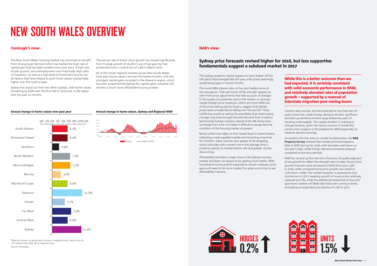



### NEW SOUTH WALES OVERVIEW

The New South Wales housing market has continued to benefit from strong buyer demand which has fuelled the high rate of capital gain that has been evident since June 2012. A high rate of jobs growth, low unemployment and historically high rates of migration, as well as a high level of investment activity are all factors that have helped to push home values substantially higher over the cycle to date.

Sydney has stood out from the other capitals, with home values increasing by 8.9% over the first half of 2016 and 11.3% higher over the past 12 months.

#### NAB's view:

### Sydney price forecasts revised higher for 2016, but less supportive fundamentals suggest a subdued market in 2017

The Sydney property market appears to have shaken off the soft patch that emerged late last year, with prices seemingly accelerating again in recent months.

The recent RBA interest rate cut has also fuelled some of the resurgence. That said much of the strength appears to stem from price adjustments that take account of changes in the quality of properties sold in the market. In contrast, simple median price measures, which are more reflective of the prices being paid by buyers, suggest that Sydney prices were actually flat-to-falling over this period. These conflicting results as well as the possibility that recent policy changes may have brought forward demand from investors (particularly foreign investors ahead of the 4% stamp duty surcharge from June 21) makes it difficult to gauge the true condition of the housing market at present.

Rental yields have fallen to their lowest level in recent history, indicating a well-supplied market and impacting incentives for investors. Sales volumes also appear to be dropping, which coincides with a recent rise in the average time a property spends on market before sale and greater vendor discounting.

Affordability has been a major issue in the Sydney housing market and does not appear to be getting much better. With household income growth expected to remain subdued, price gains will need to be more modest for quite some time to see affordability improve.

While this is a better outcome than we had expected, it is certainly consistent with solid economic performance in NSW, and relatively elevated rates of population growth – supported by a reversal of interstate migration post mining boom

Interest rates are low, and are expected to stay that way for quite some time, while foreign demand remains significant and pent up demand remains large (following years of housing undersupply). The supply situation is starting to change however, given the record amount of residential construction projects in the pipeline for NSW (especially for medium-density housing).

Consistent with this view on market fundamentals, the **NAB Property Survey** showed that market sentiment eased a little in NSW during Q2 2016, with the index well down on last year's high, while foreign demand remained subdued compared to previous periods.

NAB has revised up the near-term forecasts of quality adjusted prices growth to reflect the strength seen to date. House price growth forecasts were increased to 8.6% (from just 1.5%) in 2016, while unit/apartment price growth was raised to 7.2% (from -0.6%). The market however, is expected to lose momentum in 2017, keeping growth in house prices relatively subdued at 0.2%, while the additional headwinds to the unit/ apartment market will likely take hold over coming months, prompting an expected price decline of 1.5% in 2017.



\*Data for homes in capital cities, houses in regional areas. Data to Jun-16 for capital cities, May-16 for regional areas Source: CoreLogic

The annual rate of home value growth has slowed significantly from its peak growth of 18.4% in July of last year but has accelerated from a recent low of 7.4% in March 2016.

All of the broad regional markets across New South Wales have seen house values rise over the twelve months, with the strongest capital gains recorded in the Illawarra region, which has even outperformed Sydney for capital gains, however still remains a much more affordable housing market.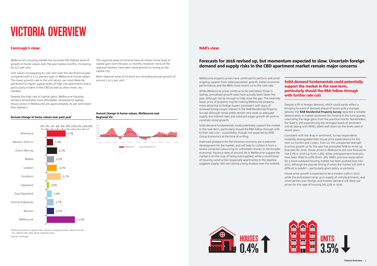



# VICTORIA OVERVIEW

Melbourne's housing market has recorded the highest level of growth in home values over the past twelve months, increasing by 11.5 per cent.

Unit values increased by 6.1 per cent over the last financial year compared with a 12.2 percent gain in Melbourne house values. The lower growth rate in the unit sector can most likely be attributed to higher supply levels of high rise apartments that is particularly evident in the CBD as well as other inner city markets.

Despite the high rate of capital gains, Melbourne housing remains remarkably more affordable compared to Sydney. House prices in Melbourne are approximately 25 per cent lower than Sydney's.

#### NAB's view:

### Forecasts for 2016 revised up, but momentum expected to slow. Uncertain foreign demand and supply risks in the CBD apartment market remain major concerns

Melbourne property prices have continued to perform well amid ongoing support from solid population growth, better economic performance, and the RBA's most recent cut to the cash rate.

While Melbourne prices continue to be well below those in Sydney, annualised growth rates have actually been faster this year, although not by enough to help close the gap. The relatively lower price of property may be making Melbourne property more attractive to foreign buyers (consistent with signs of renewed foreign buyer interest in the NAB Residential Property Survey) although rental yields remain very weak as adequate supply, low interest rates and subdued wages growth all work to constrain rental growth.

Solid demand fundamentals could potentially support the market in the near-term, particularly should the RBA follow through with further rate cuts – a possibility, though not expected by NAB Group Economics at the time of writing.

Improved prospects for the Victorian economy are a welcome development for the market, and will help to cushion it from a severe correction (assuming no unforeseen shocks to the broader economy). Vacancy rates of around 3% in Melbourne suggest the market is on the cusp of being oversupplied, while a record level of housing construction (especially apartments) in the pipeline suggests supply risks are casting a long shadow over the outlook.

#### Solid demand fundamentals could potentially support the market in the near-term, particularly should the RBA follow through with further rate cuts

Despite a lift in foreign demand, which could partly reflect a bringing forward of demand ahead of recent policy changes (above), the **NAB Residential Property Survey** reported a notable deterioration in market sentiment for Victoria in the June quarter, unwinding the large gains from the previous month. Nonetheless, the State is still experiencing the strongest levels of sentiment overall (along with NSW), albeit well down on the levels seen in recent years.

Consistent with the drop in sentiment, Survey respondents modestly downgraded their house price expectations for the next 12 months and 2 years. Even so, the unexpected strength in prices growth so far this year has prompted NAB to revise up forecasts for 2016. House prices in Melbourne are now forecast to rise 6.1% in 2016 (up from 2.3%), while unit/apartment forecasts have been lifted to 0.6% (from -3%). NAB's previous expectation for a more subdued housing market has been pushed back into 2017, although the precise timing of when the market will shift is difficult to predict – particularly given policy uncertainty.

House price growth is expected to be a modest 0.4% in 2017, while the anticipated ramp up in supply of units/apartments, and uncertainties over foreign and investor demand will likely see prices for this type of housing fall 3.5% in 2016.

Annual change in home values, Melbourne and Regional Vic





#### Annual change in home values over past year\*

The regional areas of Victoria have all shown some level of capital gain over the past 12 months, however none of the regional markets have seen value growth as strong as the capital city.

Most regional areas of Victoria are recording annual growth of around 2 to 5 per cent.

\*Data for homes in capital cities, houses in regional areas. Data to Jun-16 for capital cities, May-16 for regional areas Source: CoreLogic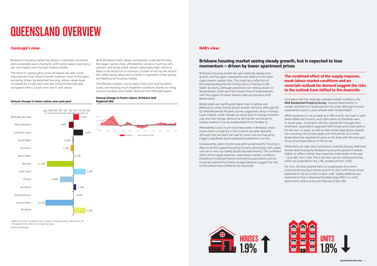



### QUEENSLAND OVERVIEW

Brisbane's housing market has shown a relatively consistent and sustainable pace of growth, with home values moving 5.3 per cent higher over the past twelve months.

The trend in capital gains across Brisbane has seen some improvement over recent months however most of the gains are being driven by detached housing, where values have increased by 5.6 per cent over the 2015/16 financial year, compared with a 2.4 per cent rise in unit values.

Annual change in home values, Brisbane and Regional Qld



#### NAB's view:

#### Brisbane housing market seeing steady growth, but is expected to lose momentum – driven by lower apartment prices

Brisbane's housing market has seen relatively steady price growth, but has again underperformed relative to the other major eastern capital cities. This might be a reflection of the ongoing drag that the mining sector is having on the State's economy, although prominent non-mining sectors in Queensland's south-east have shown hints of improvement, with the support of lower interest rates and previous AUD depreciation.

Rental yields are significantly higher than in Sydney and Melbourne, which should attract investor demand, although the Q2 NAB Residential Property Survey suggested a drop in foreign buyer interest, while changes to stamp duty for foreign investors may also slow foreign demand (a 3% transfer surcharge for foreign investors is to be implemented from October 1).

Affordability is also much more favourable in Brisbane, which means there is scope for a rise in owner-occupier demand, although that has been the case for some time and has yet to trigger a significant (and sustained) acceleration in prices.



The combined effect of the supply response, weak labour market conditions and an uncertain outlook for demand suggest the risks to the outlook have shifted to the downside

Consistent with the relatively subdued market conditions, the **NAB Residential Property Survey** showed deterioration in market sentiment for Queensland in Q2 2016, although forward expectations (up to 2 years ahead) were revised higher.

Consequently, years of previously pent-up demand for housing is likely to be less supportive going forward, particularly with supply now set to ramp up rapidly (especially apartments). The combined effect of the supply response, weak labour market conditions (resulting in subdued income and slowing population), and an uncertain outlook for (mainly foreign) demand suggest the risks to the outlook have shifted to the downside. While there are signs that momentum could be slowing, NAB have revised 2016 forecast for Brisbane house price growth modestly higher, to reflect a better than expected result earlier in the year – up to 4%, from 2.6%. This is also the case for units/apartments, which are expected to rise 1.7%, revised up from -0.6%. For now, we have pushed back our expectation for a more

While sentiment is not as weak as in WA and SA, the index is well below NSW and Victoria, and is also down on the levels seen in recent years. Consistent with the surprise lift in longer-term sentiment, respondents upgraded their house price expectations for the next 1-2 years, as well as their rental expectations despite the mounting risk of oversupply over that period. As a result, Queensland has regained its place as the State with the strongest house price expectations in the Survey.

pronounced slowing in prices growth to 2017, with house prices expected to rise by a more modest 1.9%. Supply additions are expected to have a disproportionately large effect on units/ apartments, where prices are forecast to fall 1.8%.

Annual change in home values over past year\*

With Brisbane home values consistently under-performing the larger capital cities, affordability remains much less of a concern and rental yields remain reasonably high, which is likely to be attractive to investors, further driven by the record low yields being observed currently in segments of the Sydney and Melbourne housing market.

The lifestyle markets, particularly Gold Coast and Sunshine Coast, are showing much healthier conditions thanks to rising tourism numbers and higher demand from lifestyle buyers.

\*Data for homes in capital cities, houses in regional areas. Data to Jun-16 for capital cities, May-16 for regional areas Source: CoreLogic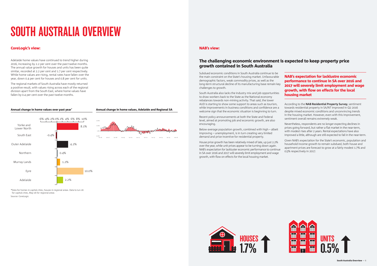



# SOUTH AUSTRALIA OVERVIEW

Adelaide home values have continued to trend higher during 2016, increasing by 2.2 per cent over the past twelve months. The annual value growth for houses and units has been quite similar, recorded at 2.2 per cent and 1.7 per cent respectively. While home values are rising, rental rates have fallen over the year, down 0.4 per cent for houses and 0.8 per cent for units.

The regional markets of South Australia have mostly returned a positive result, with values rising across each of the regional division apart from the South East, where home values have fallen by 0.4 per cent over the past twelve months.



Jun 06 Jun 07 Jun 08 Jun 09 Jun 10 Jun 11 Jun 12 Jun 13 Jun 11 Jun 15 Jun 16

#### Annual change in home values, Adelaide and Regional SA

#### NAB's view:

### The challenging economic environment is expected to keep property price growth contained in South Australia

Subdued economic conditions in South Australia continue to be the main constraint on the State's housing market. Unfavourable demographic factors, weak commodity prices, as well as the long-term structural decline of its manufacturing base remain key challenges to growth.

South Australia also lacks the industry mix and job opportunities to draw workers back to the State as the National economy rebalances towards non-mining activity. That said, the lower AUD is starting to show some support to areas such as tourism, while improvements in business conditions and confidence are a welcome sign that the economic situation is beginning to turn.

Recent policy announcements at both the State and Federal level, aimed at promoting job and economic growth, are also encouraging.

Below-average population growth, combined with high – albeit improving – unemployment, is in turn creating very limited demand and price incentive for residential property.

House price growth has been relatively mixed of late, up just 2.2% over the year, while unit prices appear to be turning down again. NAB's expectation for lackluster economic performance to continue in SA over 2016 and 2017 will severely limit employment and wage growth, with flow on effects for the local housing market.

NAB's expectation for lacklustre economic performance to continue in SA over 2016 and 2017 will severely limit employment and wage growth, with flow on effects for the local housing market

According to the **NAB Residential Property Survey**, sentiment towards residential property in SA/NT improved in Q2 2016 despite mixed economic conditions and unconvincing trends in the housing market. However, even with this improvement, sentiment overall remains extremely weak.

Nevertheless, respondents are no longer expecting declines in prices going forward, but rather a flat market in the near-term, with modest rises after 2 years. Rental expectations have also improved a little, although are still expected to fall in the near-term.

Given NAB's expectation for the State's economic, population and household income growth to remain subdued, both house and apartment prices are forecast to grow at a fairly modest 1.7% and 0.5% respectively in 2017.



#### Annual change in home values over past year\*

\*Data for homes in capital cities, houses in regional areas. Data to Jun-16 for capital cities, May-16 for regional areas Source: CoreLogic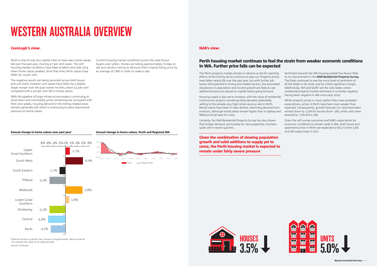



### WESTERN AUSTRALIA OVERVIEW

Perth is one of only two capital cities to have seen home values fall over the past year, moving 4.7 per cent lower. The soft housing market conditions have been evident since late 2014 when home values peaked. Since that time, Perth values have fallen by 7.4 per cent.

The negative results are being recorded across both house and unit stock, however unit values have fallen by a slightly larger margin over the past twelve months; down 5.5 per cent compared with a 4.6 per cent fall in house values.

With the pipeline of large infrastructure projects continuing to wind down and commodity prices remaining low compared with their 2011 peaks, housing demand in the mining related areas remains generally soft which is continuing to place downwards pressure on home values.

#### Annual change in home values, Perth and Regional WA

#### NAB's view:

### Perth housing market continues to feel the strain from weaker economic conditions in WA. Further price falls can be expected

The Perth property market remains in decline as the far reaching effects of the mining sector continue to play out. Property prices have fallen nearly 5% over the past year, but with further job losses still expected in mining and related sectors, the associated slowdowns in population and income growth are likely to see additional pressures placed on capital values going forward.

Housing supply is also set to increase, with the value of residential construction projects remaining fairly elevated, potentially adding to the already very high rental vacancy rate in Perth. Rental values have been in clear decline, stemming demand from investors, although rental yields remain higher than in Sydney and Melbourne (at least for now).

Certainly, the NAB Residential Property Survey has also shown that foreign demand, particularly for new properties, has been quite soft in recent quarters.



Given the combination of slowing population growth and solid additions to supply yet to come, the Perth housing market is expected to remain under fairly severe pressure

Sentiment towards the WA housing market has shown little to no improvement in the **NAB Residential Property Survey**. The State continued to see the worst level of sentiment of all the States in Q2 2016, and by a fairly significant margin. Additionally, WA and SA/NT are the only States where residential property market sentiment is currently negative, having been negative in WA since early 2014.

While property prices in most capital cities have exceeded expectations, prices in Perth have been even weaker than expected. Consequently, growth forecasts for 2016 have been revised down to -5.5% for houses (from -3%), while units were lowered to -7.2% (from 3%).

Given the soft survey outcomes and NAB's expectation for economic conditions to remain weak in WA, both house and apartment prices in Perth are expected to fall a further 3.5% and 5% respectively in 2017.

Current housing market conditions across the state favour buyers over sellers. Homes are taking approximately 70 days to sell and vendors having to discount their original listing price by an average of 7.8% in order to make a sale.

#### Annual change in home values over past year'

\*Data for homes in capital cities, houses in regional areas. Data to June-16 for capital cities, May-16 for regional areas Source: CoreLogic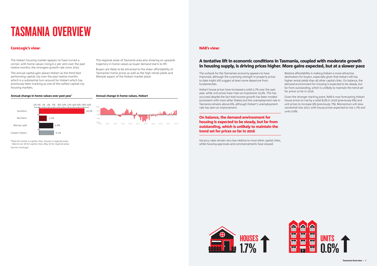



# TASMANIA OVERVIEW

The Hobart housing market appears to have turned a corner, with home values rising 6.2 per cent over the past twelve months; the strongest growth rate since 2010.

The annual capital gain places Hobart as the third best performing capital city over the past twelve months which is a substantial turn around for Hobart which has previously been tracking as one of the softest capital city housing markets.



#### Annual change in home values, Hobart

#### NAB's view:

### A tentative lift in economic conditions in Tasmania, coupled with moderate growth in housing supply, is driving prices higher. More gains expected, but at a slower pace

The outlook for the Tasmanian economy appears to have improved, although the surprising strength in property prices to date might still suggest at least some departure from fundamentals.



#### On balance, the demand environment for housing is expected to be steady, but far from outstanding, which is unlikely to maintain the trend set for prices so far in 2016

Vacancy rates remain very low relative to most other capital cities, while housing approvals and commencements have slowed.

Hobart house prices have increased a solid 5.7% over the past year, while unit prices have risen an impressive 10.3%. This has occurred despite the fact that income growth has been modest (consistent with most other States) and the unemployment rate in Tasmania remains above 6%, although Hobart's unemployment rate has seen an improvement. for prices so far in 2016. Given the stronger starting point, NAB is now forecasting Hobart house prices to rise by a solid 8.5% in 2016 (previously 6%) and unit prices to increase 9% (previously 7%). Momentum will slow somewhat into 2017, with house prices expected to rise 1.7% and .% units 0.6%.

Relative affordability is making Hobart a more attractive destination for buyers, especially given that Hobart still has higher rental yields than all other capital cities. On balance, the demand environment for housing is expected to be steady, but far from outstanding, which is unlikely to maintain the trend set

#### Annual change in home values over past year\*

The regional areas of Tasmania area also showing an upwards trajectory in home values as buyer demand starts to lift.

Buyers are likely to be attracted to the sheer affordability of Tasmanian home prices as well as the high rental yields and lifestyle aspect of the Hobart market place.

\*Data for homes in capital cities, houses in regional areas. Data to Jun-16 for capital cities, May-16 for regional areas Source: CoreLogic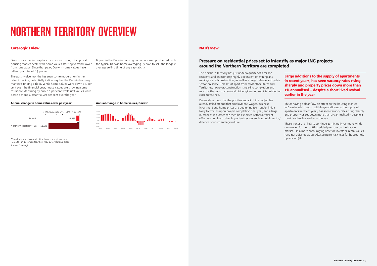# NORTHERN TERRITORY OVERVIEW

Darwin was the first capital city to move through its cyclical housing market peak, with home values starting to trend lower from June 2014. Since that peak, Darwin home values have fallen by a total of 6.9 per cent.

The past twelve months has seen some moderation in the rate of decline, potentially indicating that the Darwin housing market is finding a floor. While home values were down 1.1 per cent over the financial year, house values are showing some resilience, declining by only 0.1 per cent while unit values were down a more substantial 4.9 per cent over the year.



#### Annual change in home values, Darwin

#### NAB's view:

The Northern Territory has just under a quarter of a million residents and an economy highly dependent on mining and mining-related construction, as well as a large defence and public sector presence. This sets it apart from most other States and Territories, however, construction is nearing completion and much of the construction and civil engineering work is finished or close to finished. Large additions to the supply of apartments in recent years, has seen vacancy rates rising sharply and property prices down more than 1% annualised – despite a short lived revival earlier in the year

Recent data show that the positive impact of the project has already tailed off and that employment, wages, business investment and home prices are beginning to struggle. This is likely to worsen upon project completion next year, and a large number of job losses can then be expected with insufficient offset coming from other important sectors such as public sector/ defence, tourism and agriculture.

This is having a clear flow on effect on the housing market in Darwin, which along with large additions to the supply of apartments in recent years, has seen vacancy rates rising sharply and property prices down more than 1% annualised – despite a short lived revival earlier in the year.

These trends are likely to continue as mining investment winds down even further, putting added pressure on the housing market. On a more encouraging note for investors, rental values have not adjusted as quickly, seeing rental yields for houses hold up around 5%.



#### Annual change in home values over past year\*

### Pressure on residential prices set to intensify as major LNG projects around the Northern Territory are completed

\*Data for homes in capital cities, houses in regional areas. Data to Jun-16 for capital cities, May-16 for regional areas Source: CoreLogic

Buyers in the Darwin housing market are well positioned, with the typical Darwin home averaging 85 days to sell; the longest average selling time of any capital city.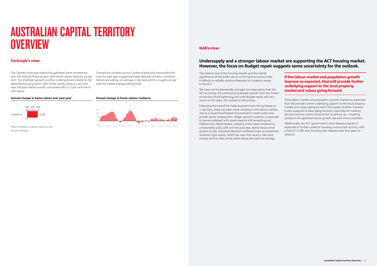### AUSTRALIAN CAPITAL TERRITORY **OVERVIEW**

#### CoreLogic's view:

The Canberra housing market has gathered some momentum over the 2015/16 financial year, with home values rising by 3.9 per cent. The improved growth position is being driven mostly by the detached housing sector, with house values rising 4.1 per cent over the past twelve months compared with a 1.7 per cent rise in unit values.

#### NAB's view:

#### Undersupply and a stronger labour market are supporting the ACT housing market. However, the focus on Budget repair suggests some uncertainty for the outlook.

The relative size of the housing market and the overall significance of the public sector to the local economy make it difficult to reliably produce forecasts for property values in the ACT.

We have not fundamentally changed our expectation that the ACT economy will continue to gradually recover from the impact of previous fiscal tightening, but with Budget repair still very much on the radar, the outlook is still unclear.

Following the end of the Federal government hiring freeze on 1 July 2015, there has been more certainty in the labour market, and as a result broad based improvement in both public and private sector employment. Wages growth however is expected to remain subdued with spare capacity still remaining and inflation low. Nevertheless, property prices have increased by a reasonably solid 3.9% over the past year, led by house price growth (4.1%). Improved demand conditions have accompanied relatively tight supply, which has seen the vacancy rate drop sharply and has kept rental yields above the national average.

\*Data for homes in capital cities to Jun-16. Source: Corel ogic

#### If the labour market and population growth improve as expected, that will provide further underlying support to the local property market and values going forward

If the labour market and population growth improve as expected, that will provide further underlying support to the local property market and values going forward. The supply situation however is also expected to ease going forward, especially for medium density housing, where construction is picking up – meaning prospects for apartment price growth are even more uncertain.

Additionally, the ACT government's land release program is expected to further underpin housing construction activity, with a total of 17,780 new housing sites released over four years to 2019-20.



#### Annual change in home values, Canberra



#### Annual change in home values over past year\*

Transaction numbers across Canberra have held reasonably firm over the past year suggesting buyer demand remains consistent. Homes are selling, on average, in 49 days which is roughly on par with the capital average selling time.